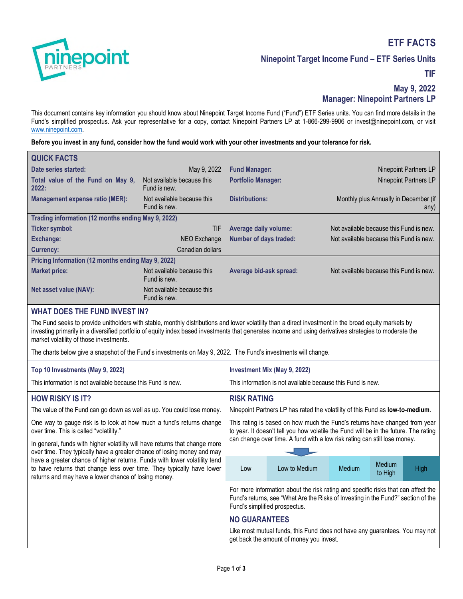

# **ETF FACTS**

**Ninepoint Target Income Fund – ETF Series Units**

**TIF**

# **May 9, 2022 Manager: Ninepoint Partners LP**

This document contains key information you should know about Ninepoint Target Income Fund ("Fund") ETF Series units. You can find more details in the Fund's simplified prospectus. Ask your representative for a copy, contact Ninepoint Partners LP at 1-866-299-9906 or invest@ninepoint.com, or visit www.ninepoint.com.

#### **Before you invest in any fund, consider how the fund would work with your other investments and your tolerance for risk.**

| <b>QUICK FACTS</b>                                 |                                            |                               |                                               |  |
|----------------------------------------------------|--------------------------------------------|-------------------------------|-----------------------------------------------|--|
| Date series started:                               | May 9, 2022                                | <b>Fund Manager:</b>          | Ninepoint Partners LP                         |  |
| Total value of the Fund on May 9,<br>2022:         | Not available because this<br>Fund is new. | <b>Portfolio Manager:</b>     | Ninepoint Partners LP                         |  |
| Management expense ratio (MER):                    | Not available because this<br>Fund is new. | <b>Distributions:</b>         | Monthly plus Annually in December (if<br>any) |  |
| Trading information (12 months ending May 9, 2022) |                                            |                               |                                               |  |
| Ticker symbol:                                     | TIF                                        | <b>Average daily volume:</b>  | Not available because this Fund is new.       |  |
| <b>Exchange:</b>                                   | NEO Exchange                               | <b>Number of days traded:</b> | Not available because this Fund is new.       |  |
| Currency:                                          | Canadian dollars                           |                               |                                               |  |
| Pricing Information (12 months ending May 9, 2022) |                                            |                               |                                               |  |
| <b>Market price:</b>                               | Not available because this<br>Fund is new. | Average bid-ask spread:       | Not available because this Fund is new.       |  |
| Net asset value (NAV):                             | Not available because this<br>Fund is new. |                               |                                               |  |
| <b>WHAT DOES THE FUND INVEST IN?</b>               |                                            |                               |                                               |  |

The Fund seeks to provide unitholders with stable, monthly distributions and lower volatility than a direct investment in the broad equity markets by investing primarily in a diversified portfolio of equity index based investments that generates income and using derivatives strategies to moderate the market volatility of those investments.

The charts below give a snapshot of the Fund's investments on May 9, 2022. The Fund's investments will change.

#### **Top 10 Investments (May 9, 2022)**

**Investment Mix (May 9, 2022)** 

This information is not available because this Fund is new.

#### **HOW RISKY IS IT?**

The value of the Fund can go down as well as up. You could lose money.

One way to gauge risk is to look at how much a fund's returns change over time. This is called "volatility."

In general, funds with higher volatility will have returns that change more over time. They typically have a greater chance of losing money and may have a greater chance of higher returns. Funds with lower volatility tend to have returns that change less over time. They typically have lower returns and may have a lower chance of losing money.

#### **RISK RATING**

Ninepoint Partners LP has rated the volatility of this Fund as **low-to-medium**.

This information is not available because this Fund is new.

This rating is based on how much the Fund's returns have changed from year to year. It doesn't tell you how volatile the Fund will be in the future. The rating can change over time. A fund with a low risk rating can still lose money.



For more information about the risk rating and specific risks that can affect the Fund's returns, see "What Are the Risks of Investing in the Fund?" section of the Fund's simplified prospectus.

# **NO GUARANTEES**

Like most mutual funds, this Fund does not have any guarantees. You may not get back the amount of money you invest.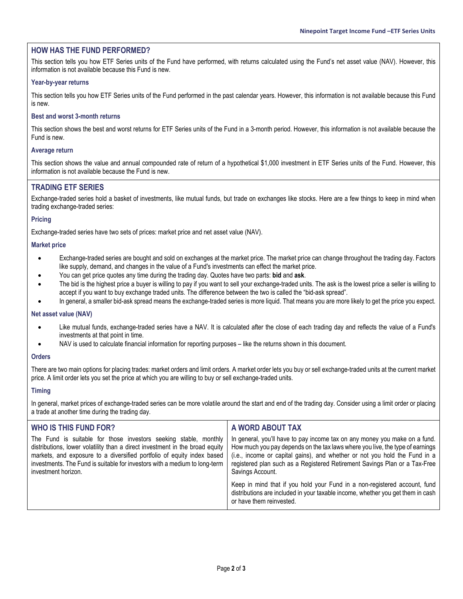# **HOW HAS THE FUND PERFORMED?**

This section tells you how ETF Series units of the Fund have performed, with returns calculated using the Fund's net asset value (NAV). However, this information is not available because this Fund is new.

#### **Year-by-year returns**

This section tells you how ETF Series units of the Fund performed in the past calendar years. However, this information is not available because this Fund is new.

#### **Best and worst 3-month returns**

This section shows the best and worst returns for ETF Series units of the Fund in a 3-month period. However, this information is not available because the Fund is new.

#### **Average return**

This section shows the value and annual compounded rate of return of a hypothetical \$1,000 investment in ETF Series units of the Fund. However, this information is not available because the Fund is new.

### **TRADING ETF SERIES**

Exchange-traded series hold a basket of investments, like mutual funds, but trade on exchanges like stocks. Here are a few things to keep in mind when trading exchange-traded series:

#### **Pricing**

Exchange-traded series have two sets of prices: market price and net asset value (NAV).

#### **Market price**

- Exchange-traded series are bought and sold on exchanges at the market price. The market price can change throughout the trading day. Factors like supply, demand, and changes in the value of a Fund's investments can effect the market price.
- You can get price quotes any time during the trading day. Quotes have two parts: **bid** and **ask**.
- The bid is the highest price a buyer is willing to pay if you want to sell your exchange-traded units. The ask is the lowest price a seller is willing to accept if you want to buy exchange traded units. The difference between the two is called the "bid-ask spread".
- In general, a smaller bid-ask spread means the exchange-traded series is more liquid. That means you are more likely to get the price you expect.

#### **Net asset value (NAV)**

- Like mutual funds, exchange-traded series have a NAV. It is calculated after the close of each trading day and reflects the value of a Fund's investments at that point in time.
- NAV is used to calculate financial information for reporting purposes like the returns shown in this document.

#### **Orders**

There are two main options for placing trades: market orders and limit orders. A market order lets you buy or sell exchange-traded units at the current market price. A limit order lets you set the price at which you are willing to buy or sell exchange-traded units.

#### **Timing**

In general, market prices of exchange-traded series can be more volatile around the start and end of the trading day. Consider using a limit order or placing a trade at another time during the trading day.

| WHO IS THIS FUND FOR?                                                                                                                                                                                                                                                                                                           | A WORD ABOUT TAX                                                                                                                                                                                                                                                                                                                            |  |
|---------------------------------------------------------------------------------------------------------------------------------------------------------------------------------------------------------------------------------------------------------------------------------------------------------------------------------|---------------------------------------------------------------------------------------------------------------------------------------------------------------------------------------------------------------------------------------------------------------------------------------------------------------------------------------------|--|
| The Fund is suitable for those investors seeking stable, monthly<br>distributions, lower volatility than a direct investment in the broad equity<br>markets, and exposure to a diversified portfolio of equity index based<br>investments. The Fund is suitable for investors with a medium to long-term<br>investment horizon. | In general, you'll have to pay income tax on any money you make on a fund.<br>How much you pay depends on the tax laws where you live, the type of earnings<br>(i.e., income or capital gains), and whether or not you hold the Fund in a<br>registered plan such as a Registered Retirement Savings Plan or a Tax-Free<br>Savings Account. |  |
|                                                                                                                                                                                                                                                                                                                                 | Keep in mind that if you hold your Fund in a non-registered account, fund<br>distributions are included in your taxable income, whether you get them in cash<br>or have them reinvested.                                                                                                                                                    |  |